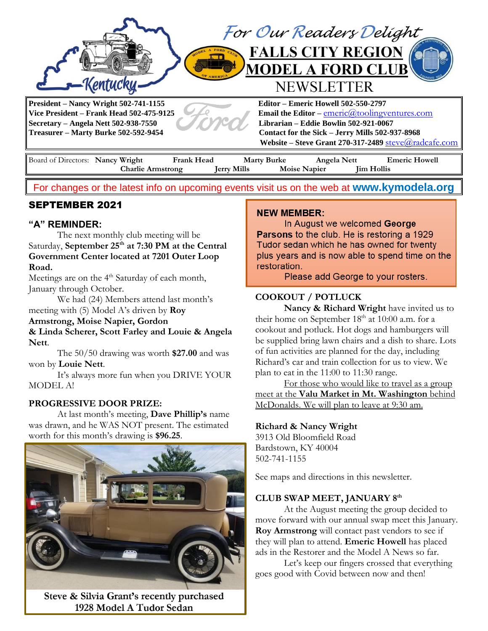

Board of Directors: **Nancy Wright Frank Head Marty Burke Angela Nett Emeric Howell Charlie Armstrong Jerry Mills Moise Napier Jim Hollis** 

For changes or the latest info on upcoming events visit us on the web at **[www.kymodela.org](http://www.kymodela.org/)**

# SEPTEMBER 2021

## **"A" REMINDER:**

The next monthly club meeting will be Saturday, September 25<sup>th</sup> at 7:30 PM at the Central **Government Center located at 7201 Outer Loop Road.**

Meetings are on the 4<sup>th</sup> Saturday of each month, January through October.

We had (24) Members attend last month's meeting with (5) Model A's driven by **Roy** 

## **Armstrong, Moise Napier, Gordon**

**& Linda Scherer, Scott Farley and Louie & Angela Nett**.

The 50/50 drawing was worth **\$27.00** and was won by **Louie Nett**.

It's always more fun when you DRIVE YOUR MODEL A!

### **PROGRESSIVE DOOR PRIZE:**

At last month's meeting, **Dave Phillip's** name was drawn, and he WAS NOT present. The estimated worth for this month's drawing is **\$96.25**.



Steve & Silvia Grant's recently purchased 1928 Model A Tudor Sedan

#### **NEW MEMBER:**

In August we welcomed George **Parsons to the club. He is restoring a 1929** Tudor sedan which he has owned for twenty plus years and is now able to spend time on the restoration.

Please add George to your rosters.

## **COOKOUT / POTLUCK**

**Nancy & Richard Wright** have invited us to their home on September 18<sup>th</sup> at 10:00 a.m. for a cookout and potluck. Hot dogs and hamburgers will be supplied bring lawn chairs and a dish to share. Lots of fun activities are planned for the day, including Richard's car and train collection for us to view. We plan to eat in the 11:00 to 11:30 range.

For those who would like to travel as a group meet at the **Valu Market in Mt. Washington** behind McDonalds. We will plan to leave at 9:30 am.

### **Richard & Nancy Wright**

3913 Old Bloomfield Road Bardstown, KY 40004 502-741-1155

See maps and directions in this newsletter.

## **CLUB SWAP MEET, JANUARY 8 th**

At the August meeting the group decided to move forward with our annual swap meet this January. **Roy Armstrong** will contact past vendors to see if they will plan to attend. **Emeric Howell** has placed ads in the Restorer and the Model A News so far.

Let's keep our fingers crossed that everything goes good with Covid between now and then!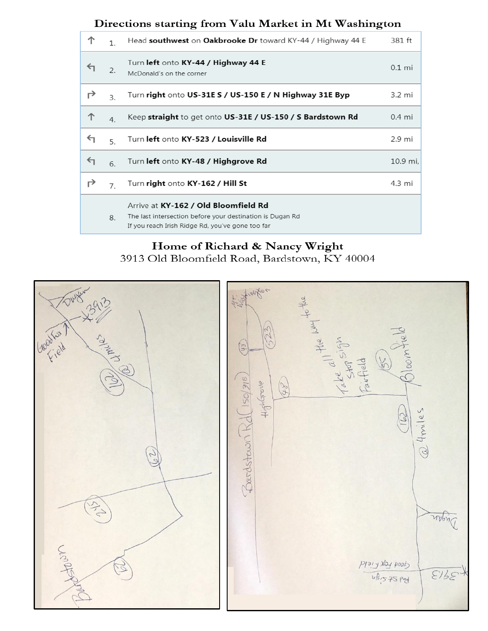# Directions starting from Valu Market in Mt Washington

| 个 | $\mathbf{1}$   | Head southwest on Oakbrooke Dr toward KY-44 / Highway 44 E                                                                                            | 381 ft   |
|---|----------------|-------------------------------------------------------------------------------------------------------------------------------------------------------|----------|
| ↤ | 2.             | Turn left onto KY-44 / Highway 44 E<br>McDonald's on the corner                                                                                       | $0.1$ mi |
| ↱ | $\mathbf{R}$   | Turn right onto US-31E S / US-150 E / N Highway 31E Byp                                                                                               | 3.2 mi   |
| ↑ | 4.             | Keep straight to get onto US-31E / US-150 / S Bardstown Rd                                                                                            | $0.4$ mi |
| ↰ | 5              | Turn left onto KY-523 / Louisville Rd                                                                                                                 | 2.9 mi   |
| ↤ | 6.             | Turn left onto KY-48 / Highgrove Rd                                                                                                                   | 10.9 mi, |
| ↱ | $\overline{7}$ | Turn right onto KY-162 / Hill St                                                                                                                      | 4.3 mi   |
|   | 8.             | Arrive at KY-162 / Old Bloomfield Rd<br>The last intersection before your destination is Dugan Rd<br>If you reach Irish Ridge Rd, you've gone too far |          |

# Home of Richard & Nancy Wright 3913 Old Bloomfield Road, Bardstown, KY 40004